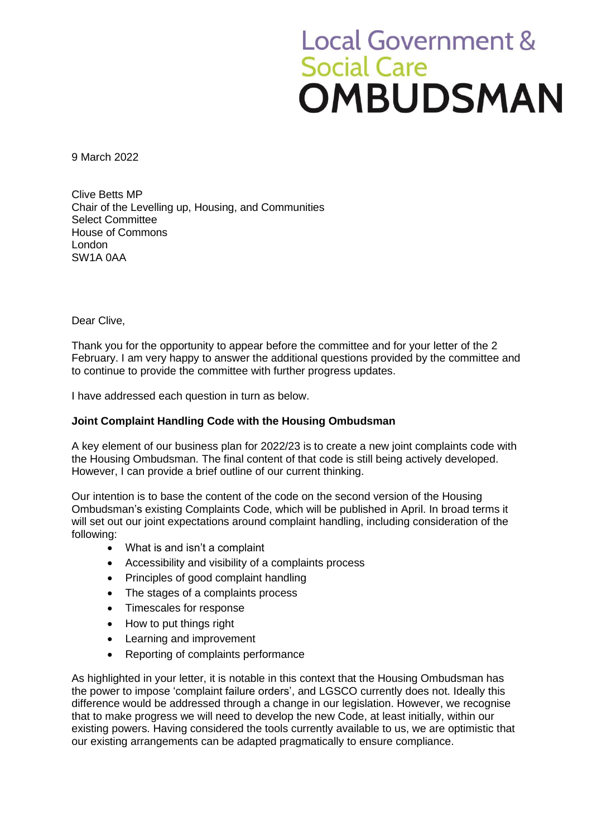# **Local Government &** Social Care<br>**OMBUDSMAN**

9 March 2022

Clive Betts MP Chair of the Levelling up, Housing, and Communities Select Committee House of Commons London SW1A 0AA

Dear Clive,

Thank you for the opportunity to appear before the committee and for your letter of the 2 February. I am very happy to answer the additional questions provided by the committee and to continue to provide the committee with further progress updates.

I have addressed each question in turn as below.

## **Joint Complaint Handling Code with the Housing Ombudsman**

A key element of our business plan for 2022/23 is to create a new joint complaints code with the Housing Ombudsman. The final content of that code is still being actively developed. However, I can provide a brief outline of our current thinking.

Our intention is to base the content of the code on the second version of the Housing Ombudsman's existing Complaints Code, which will be published in April. In broad terms it will set out our joint expectations around complaint handling, including consideration of the following:

- What is and isn't a complaint
- Accessibility and visibility of a complaints process
- Principles of good complaint handling
- The stages of a complaints process
- Timescales for response
- How to put things right
- Learning and improvement
- Reporting of complaints performance

As highlighted in your letter, it is notable in this context that the Housing Ombudsman has the power to impose 'complaint failure orders', and LGSCO currently does not. Ideally this difference would be addressed through a change in our legislation. However, we recognise that to make progress we will need to develop the new Code, at least initially, within our existing powers. Having considered the tools currently available to us, we are optimistic that our existing arrangements can be adapted pragmatically to ensure compliance.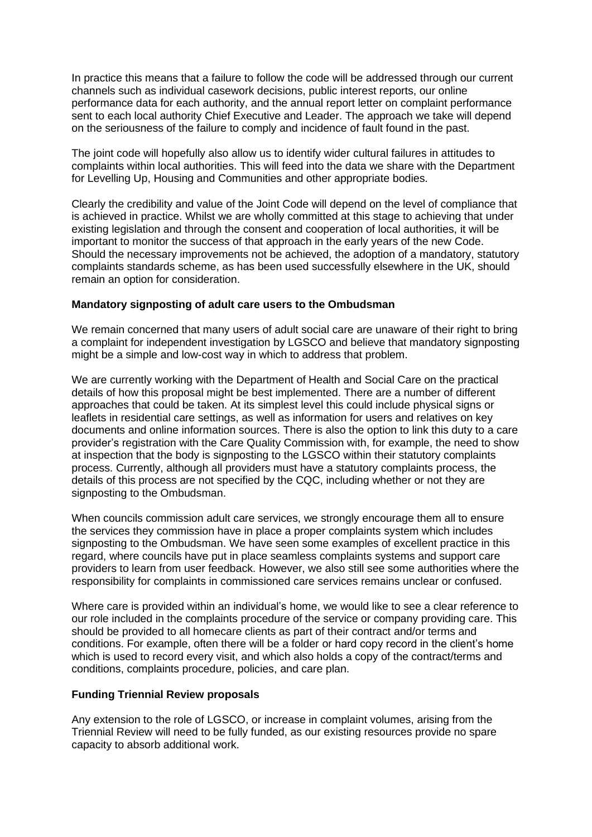In practice this means that a failure to follow the code will be addressed through our current channels such as individual casework decisions, public interest reports, our online performance data for each authority, and the annual report letter on complaint performance sent to each local authority Chief Executive and Leader. The approach we take will depend on the seriousness of the failure to comply and incidence of fault found in the past.

The joint code will hopefully also allow us to identify wider cultural failures in attitudes to complaints within local authorities. This will feed into the data we share with the Department for Levelling Up, Housing and Communities and other appropriate bodies.

Clearly the credibility and value of the Joint Code will depend on the level of compliance that is achieved in practice. Whilst we are wholly committed at this stage to achieving that under existing legislation and through the consent and cooperation of local authorities, it will be important to monitor the success of that approach in the early years of the new Code. Should the necessary improvements not be achieved, the adoption of a mandatory, statutory complaints standards scheme, as has been used successfully elsewhere in the UK, should remain an option for consideration.

#### **Mandatory signposting of adult care users to the Ombudsman**

We remain concerned that many users of adult social care are unaware of their right to bring a complaint for independent investigation by LGSCO and believe that mandatory signposting might be a simple and low-cost way in which to address that problem.

We are currently working with the Department of Health and Social Care on the practical details of how this proposal might be best implemented. There are a number of different approaches that could be taken. At its simplest level this could include physical signs or leaflets in residential care settings, as well as information for users and relatives on key documents and online information sources. There is also the option to link this duty to a care provider's registration with the Care Quality Commission with, for example, the need to show at inspection that the body is signposting to the LGSCO within their statutory complaints process. Currently, although all providers must have a statutory complaints process, the details of this process are not specified by the CQC, including whether or not they are signposting to the Ombudsman.

When councils commission adult care services, we strongly encourage them all to ensure the services they commission have in place a proper complaints system which includes signposting to the Ombudsman. We have seen some examples of excellent practice in this regard, where councils have put in place seamless complaints systems and support care providers to learn from user feedback. However, we also still see some authorities where the responsibility for complaints in commissioned care services remains unclear or confused.

Where care is provided within an individual's home, we would like to see a clear reference to our role included in the complaints procedure of the service or company providing care. This should be provided to all homecare clients as part of their contract and/or terms and conditions. For example, often there will be a folder or hard copy record in the client's home which is used to record every visit, and which also holds a copy of the contract/terms and conditions, complaints procedure, policies, and care plan.

#### **Funding Triennial Review proposals**

Any extension to the role of LGSCO, or increase in complaint volumes, arising from the Triennial Review will need to be fully funded, as our existing resources provide no spare capacity to absorb additional work.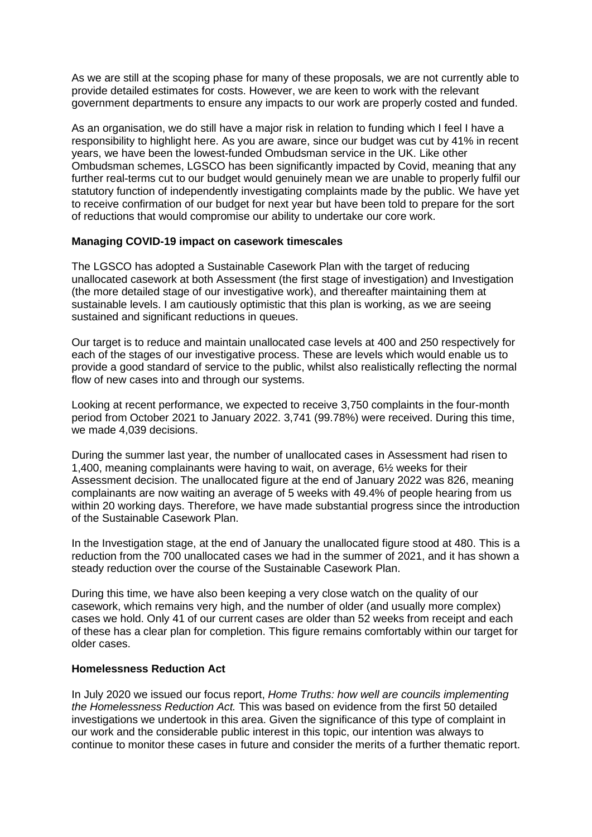As we are still at the scoping phase for many of these proposals, we are not currently able to provide detailed estimates for costs. However, we are keen to work with the relevant government departments to ensure any impacts to our work are properly costed and funded.

As an organisation, we do still have a major risk in relation to funding which I feel I have a responsibility to highlight here. As you are aware, since our budget was cut by 41% in recent years, we have been the lowest-funded Ombudsman service in the UK. Like other Ombudsman schemes, LGSCO has been significantly impacted by Covid, meaning that any further real-terms cut to our budget would genuinely mean we are unable to properly fulfil our statutory function of independently investigating complaints made by the public. We have yet to receive confirmation of our budget for next year but have been told to prepare for the sort of reductions that would compromise our ability to undertake our core work.

### **Managing COVID-19 impact on casework timescales**

The LGSCO has adopted a Sustainable Casework Plan with the target of reducing unallocated casework at both Assessment (the first stage of investigation) and Investigation (the more detailed stage of our investigative work), and thereafter maintaining them at sustainable levels. I am cautiously optimistic that this plan is working, as we are seeing sustained and significant reductions in queues.

Our target is to reduce and maintain unallocated case levels at 400 and 250 respectively for each of the stages of our investigative process. These are levels which would enable us to provide a good standard of service to the public, whilst also realistically reflecting the normal flow of new cases into and through our systems.

Looking at recent performance, we expected to receive 3,750 complaints in the four-month period from October 2021 to January 2022. 3,741 (99.78%) were received. During this time, we made 4,039 decisions.

During the summer last year, the number of unallocated cases in Assessment had risen to 1,400, meaning complainants were having to wait, on average, 6½ weeks for their Assessment decision. The unallocated figure at the end of January 2022 was 826, meaning complainants are now waiting an average of 5 weeks with 49.4% of people hearing from us within 20 working days. Therefore, we have made substantial progress since the introduction of the Sustainable Casework Plan.

In the Investigation stage, at the end of January the unallocated figure stood at 480. This is a reduction from the 700 unallocated cases we had in the summer of 2021, and it has shown a steady reduction over the course of the Sustainable Casework Plan.

During this time, we have also been keeping a very close watch on the quality of our casework, which remains very high, and the number of older (and usually more complex) cases we hold. Only 41 of our current cases are older than 52 weeks from receipt and each of these has a clear plan for completion. This figure remains comfortably within our target for older cases.

#### **Homelessness Reduction Act**

In July 2020 we issued our focus report, *Home Truths: how well are councils implementing the Homelessness Reduction Act.* This was based on evidence from the first 50 detailed investigations we undertook in this area. Given the significance of this type of complaint in our work and the considerable public interest in this topic, our intention was always to continue to monitor these cases in future and consider the merits of a further thematic report.